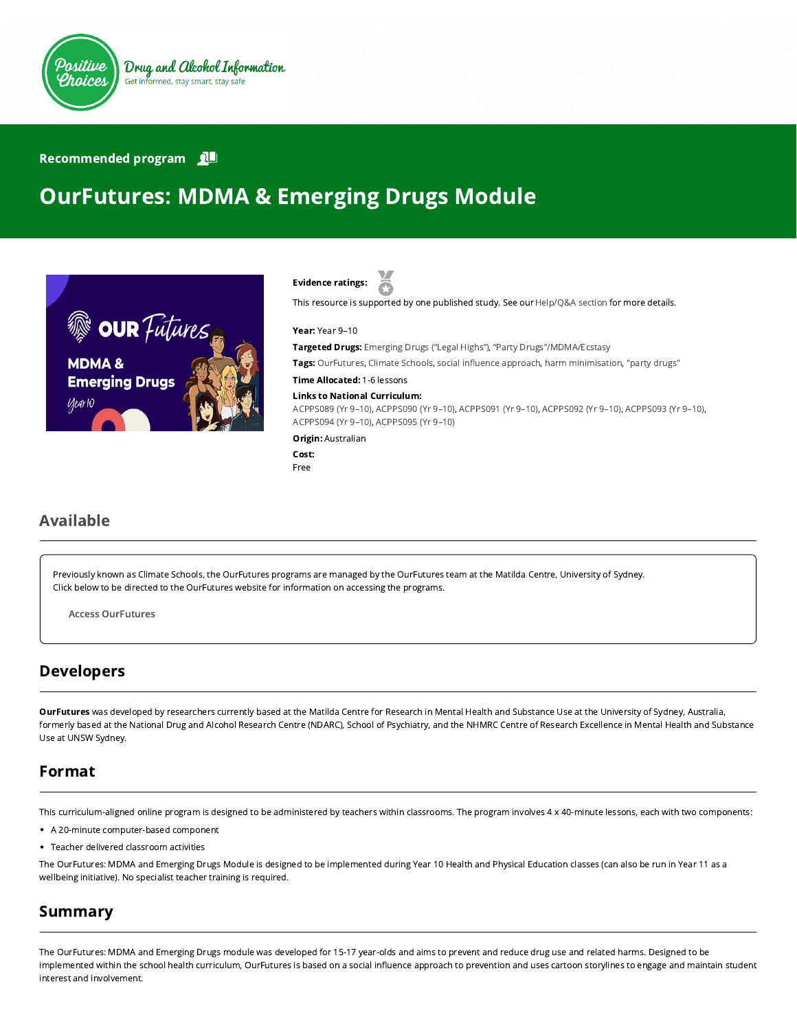

#### Recommended program

# OurFutures: MDMA & Emerging Drugs Module





This resource is supported by one published study. See our [Help/Q&A section](https://positivechoices.org.au/help/questions-and-answers/) for more details.

Year: Year 9–10

Targeted Drugs: Emerging Drugs ("Legal Highs"), "Party Drugs"/MDMA/Ecstasy

Tags: OurFutures, Climate Schools, social influence approach, harm minimisation, "party drugs"

Time Allocated: 1-6 lessons

#### Links to National Curriculum:

[ACPPS089 \(Yr 9–10\),](http://www.australiancurriculum.edu.au/Curriculum/ContentDescription/ACPPS089) [ACPPS090 \(Yr 9–10\),](http://www.australiancurriculum.edu.au/Curriculum/ContentDescription/ACPPS090) [ACPPS091 \(Yr 9–10\),](http://www.australiancurriculum.edu.au/Curriculum/ContentDescription/ACPPS091) [ACPPS092 \(Yr 9–10\)](http://www.australiancurriculum.edu.au/Curriculum/ContentDescription/ACPPS092), [ACPPS093 \(Yr 9–10\)](http://www.australiancurriculum.edu.au/Curriculum/ContentDescription/ACPPS093), [ACPPS094 \(Yr 9–10\),](http://www.australiancurriculum.edu.au/Curriculum/ContentDescription/ACPPS094) [ACPPS095 \(Yr 9–10\)](http://www.australiancurriculum.edu.au/Curriculum/ContentDescription/ACPPS095)

**Origin: Australian** 

```
Cost:
Free
```
#### Available

Previously known as Climate Schools, the OurFutures programs are managed by the OurFutures team at the Matilda Centre, University of Sydney. Click below to be directed to the OurFutures website for information on accessing the programs.

Access [OurFutures](https://ourfutures.education/)

#### Developers

OurFutures was developed by researchers currently based at the Matilda Centre for Research in Mental Health and Substance Use at the University of Sydney, Australia, formerly based at the National Drug and Alcohol Research Centre (NDARC), School of Psychiatry, and the NHMRC Centre of Research Excellence in Mental Health and Substance Use at UNSW Sydney.

#### Format

This curriculum-aligned online program is designed to be administered by teachers within classrooms. The program involves 4 x 40-minute lessons, each with two components:

- A 20-minute computer-based component
- Teacher delivered classroom activities

The OurFutures: MDMA and Emerging Drugs Module is designed to be implemented during Year 10 Health and Physical Education classes (can also be run in Year 11 as a wellbeing initiative). No specialist teacher training is required.

#### Summary

The OurFutures: MDMA and Emerging Drugs module was developed for 15-17 year-olds and aims to prevent and reduce drug use and related harms. Designed to be implemented within the school health curriculum, OurFutures is based on a social influence approach to prevention and uses cartoon storylines to engage and maintain student interest and involvement.